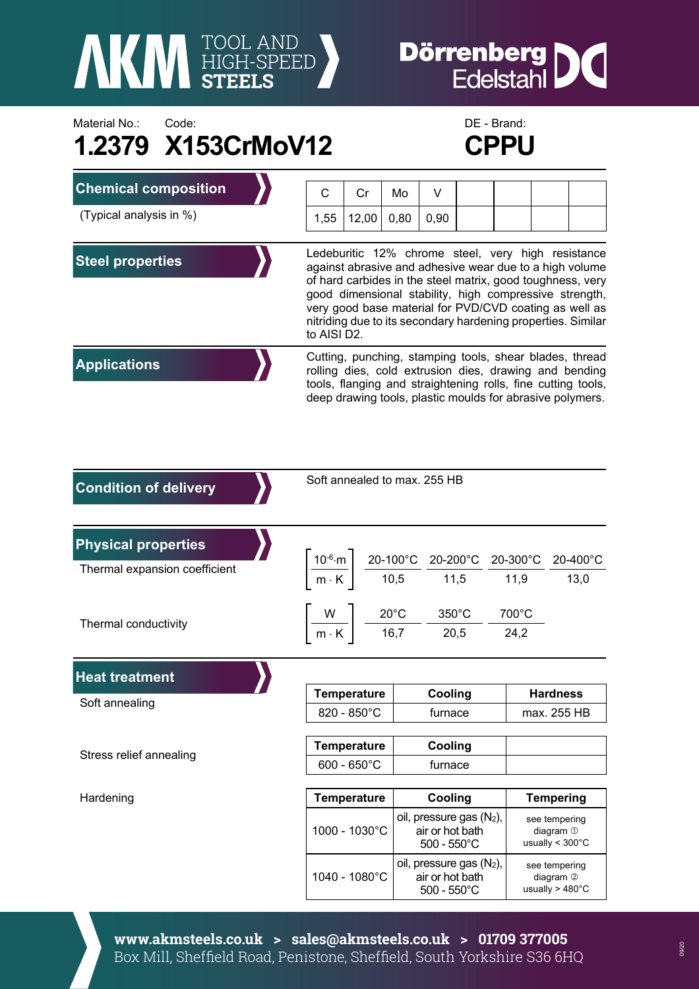

## **Dörrenberg**<br>Edelstahl

## Material No.: Code: Code: Code: Code: Communication: Code: DE - Brand: DE - Brand: **1.2379 X153CrMoV12 CPPU**



| <b>Chemical composition</b> | C                                                                                                                                                                                                                                                                                                                                                                              | Cr    | Mo   | $\vee$ |  |  |  |                                                                                                                                                                                   |
|-----------------------------|--------------------------------------------------------------------------------------------------------------------------------------------------------------------------------------------------------------------------------------------------------------------------------------------------------------------------------------------------------------------------------|-------|------|--------|--|--|--|-----------------------------------------------------------------------------------------------------------------------------------------------------------------------------------|
| (Typical analysis in %)     | 1,55                                                                                                                                                                                                                                                                                                                                                                           | 12,00 | 0.80 | 0,90   |  |  |  |                                                                                                                                                                                   |
| <b>Steel properties</b>     | Ledeburitic 12% chrome steel, very high resistance<br>against abrasive and adhesive wear due to a high volume<br>of hard carbides in the steel matrix, good toughness, very<br>good dimensional stability, high compressive strength,<br>very good base material for PVD/CVD coating as well as<br>nitriding due to its secondary hardening properties. Similar<br>to AISI D2. |       |      |        |  |  |  |                                                                                                                                                                                   |
| <b>Applications</b>         | deep drawing tools, plastic moulds for abrasive polymers.                                                                                                                                                                                                                                                                                                                      |       |      |        |  |  |  | Cutting, punching, stamping tools, shear blades, thread<br>rolling dies, cold extrusion dies, drawing and bending<br>tools, flanging and straightening rolls, fine cutting tools, |

| <b>Condition of delivery</b>  | Soft annealed to max. 255 HB |                                                                                                                                                                                                                                                                                                 |       |                                                            |  |  |  |
|-------------------------------|------------------------------|-------------------------------------------------------------------------------------------------------------------------------------------------------------------------------------------------------------------------------------------------------------------------------------------------|-------|------------------------------------------------------------|--|--|--|
|                               |                              |                                                                                                                                                                                                                                                                                                 |       |                                                            |  |  |  |
| <b>Physical properties</b>    |                              |                                                                                                                                                                                                                                                                                                 |       |                                                            |  |  |  |
| Thermal expansion coefficient |                              | $\left[\frac{10^{-6}\text{ m}}{\text{m} \cdot \text{K}}\right] \quad \frac{\text{20-100}^{\circ}\text{C}}{\text{10,5}} \quad \frac{\text{20-200}^{\circ}\text{C}}{\text{11,5}} \quad \frac{\text{20-300}^{\circ}\text{C}}{\text{11,9}} \quad \frac{\text{20-400}^{\circ}\text{C}}{\text{13,0}}$ |       |                                                            |  |  |  |
| Thermal conductivity          |                              |                                                                                                                                                                                                                                                                                                 | 700°C |                                                            |  |  |  |
|                               |                              | $\frac{W}{m\cdot K}$ $\frac{20^{\circ}C}{16,7}$ $\frac{350^{\circ}C}{20,5}$ -                                                                                                                                                                                                                   | 24,2  |                                                            |  |  |  |
| <b>Heat treatment</b>         |                              |                                                                                                                                                                                                                                                                                                 |       |                                                            |  |  |  |
|                               | <b>Temperature</b>           | Cooling                                                                                                                                                                                                                                                                                         |       | <b>Hardness</b>                                            |  |  |  |
| Soft annealing                | 820 - 850°C                  | furnace                                                                                                                                                                                                                                                                                         |       | max. 255 HB                                                |  |  |  |
|                               |                              |                                                                                                                                                                                                                                                                                                 |       |                                                            |  |  |  |
| Stress relief annealing       | <b>Temperature</b>           | Cooling                                                                                                                                                                                                                                                                                         |       |                                                            |  |  |  |
|                               | $600 - 650^{\circ}$ C        | furnace                                                                                                                                                                                                                                                                                         |       |                                                            |  |  |  |
|                               |                              |                                                                                                                                                                                                                                                                                                 |       |                                                            |  |  |  |
| Hardening                     | <b>Temperature</b>           | Cooling                                                                                                                                                                                                                                                                                         |       | <b>Tempering</b>                                           |  |  |  |
|                               | 1000 - 1030°C                | oil, pressure gas $(N_2)$ ,<br>air or hot bath<br>$500 - 550^{\circ}$ C                                                                                                                                                                                                                         |       | see tempering<br>diagram 1<br>usually $< 300^{\circ}$ C    |  |  |  |
|                               | 1040 - 1080°C                | oil, pressure gas $(N_2)$ ,<br>air or hot bath<br>$500 - 550^{\circ}$ C                                                                                                                                                                                                                         |       | see tempering<br>diagram 2<br>usually $>$ 480 $^{\circ}$ C |  |  |  |

**www.akmsteels.co.uk > sales@akmsteels.co.uk > 01709 377005**  Box Mill, Sheffield Road, Penistone, Sheffield, South Yorkshire S36 6HQ